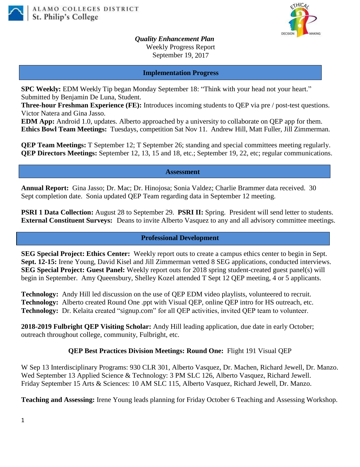



*Quality Enhancement Plan* Weekly Progress Report September 19, 2017

#### **Implementation Progress**

**SPC Weekly:** EDM Weekly Tip began Monday September 18: "Think with your head not your heart." Submitted by Benjamin De Luna, Student.

**Three-hour Freshman Experience (FE):** Introduces incoming students to QEP via pre / post-test questions. Victor Natera and Gina Jasso.

**EDM App:** Android 1.0, updates. Alberto approached by a university to collaborate on QEP app for them. **Ethics Bowl Team Meetings:** Tuesdays, competition Sat Nov 11. Andrew Hill, Matt Fuller, Jill Zimmerman.

**QEP Team Meetings:** T September 12; T September 26; standing and special committees meeting regularly. **QEP Directors Meetings:** September 12, 13, 15 and 18, etc.; September 19, 22, etc; regular communications.

#### **Assessment**

**Annual Report:** Gina Jasso; Dr. Mac; Dr. Hinojosa; Sonia Valdez; Charlie Brammer data received. 30 Sept completion date. Sonia updated QEP Team regarding data in September 12 meeting.

**PSRI 1 Data Collection:** August 28 to September 29. **PSRI II:** Spring. President will send letter to students. **External Constituent Surveys:** Deans to invite Alberto Vasquez to any and all advisory committee meetings.

### **Professional Development**

**SEG Special Project: Ethics Center:** Weekly report outs to create a campus ethics center to begin in Sept. **Sept. 12-15:** Irene Young, David Kisel and Jill Zimmerman vetted 8 SEG applications, conducted interviews. **SEG Special Project: Guest Panel:** Weekly report outs for 2018 spring student-created guest panel(s) will begin in September. Amy Queensbury, Shelley Kozel attended T Sept 12 QEP meeting, 4 or 5 applicants.

**Technology:** Andy Hill led discussion on the use of QEP EDM video playlists, volunteered to recruit. **Technology:** Alberto created Round One .ppt with Visual QEP, online QEP intro for HS outreach, etc. **Technology:** Dr. Kelaita created "signup.com" for all QEP activities, invited QEP team to volunteer.

**2018-2019 Fulbright QEP Visiting Scholar:** Andy Hill leading application, due date in early October; outreach throughout college, community, Fulbright, etc.

### **QEP Best Practices Division Meetings: Round One:** Flight 191 Visual QEP

W Sep 13 Interdisciplinary Programs: 930 CLR 301, Alberto Vasquez, Dr. Machen, Richard Jewell, Dr. Manzo. Wed September 13 Applied Science & Technology: 3 PM SLC 126, Alberto Vasquez, Richard Jewell. Friday September 15 Arts & Sciences: 10 AM SLC 115, Alberto Vasquez, Richard Jewell, Dr. Manzo.

**Teaching and Assessing:** Irene Young leads planning for Friday October 6 Teaching and Assessing Workshop.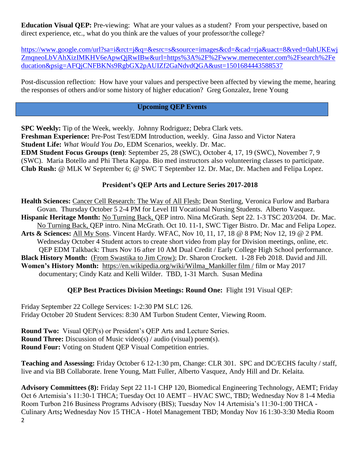**Education Visual QEP:** Pre-viewing: What are your values as a student? From your perspective, based on direct experience, etc., what do you think are the values of your professor/the college?

[https://www.google.com/url?sa=i&rct=j&q=&esrc=s&source=images&cd=&cad=rja&uact=8&ved=0ahUKEwj](https://www.google.com/url?sa=i&rct=j&q=&esrc=s&source=images&cd=&cad=rja&uact=8&ved=0ahUKEwjZmqneoLbVAhXizIMKHV6eApwQjRwIBw&url=https%3A%2F%2Fwww.memecenter.com%2Fsearch%2Feducation&psig=AFQjCNFBKNs9RgbGX2pAUIZf2GaNdvdQGA&ust=1501684443588537) ZmqneoLbVAhXizIMKHV6eApwOjRwIBw&url=https%3A%2F%2Fwww.memecenter.com%2Fsearch%2Fe [ducation&psig=AFQjCNFBKNs9RgbGX2pAUIZf2GaNdvdQGA&ust=1501684443588537](https://www.google.com/url?sa=i&rct=j&q=&esrc=s&source=images&cd=&cad=rja&uact=8&ved=0ahUKEwjZmqneoLbVAhXizIMKHV6eApwQjRwIBw&url=https%3A%2F%2Fwww.memecenter.com%2Fsearch%2Feducation&psig=AFQjCNFBKNs9RgbGX2pAUIZf2GaNdvdQGA&ust=1501684443588537)

Post-discussion reflection: How have your values and perspective been affected by viewing the meme, hearing the responses of others and/or some history of higher education? Greg Gonzalez, Irene Young

# **Upcoming QEP Events**

**SPC Weekly:** Tip of the Week, weekly. Johnny Rodriguez; Debra Clark vets. **Freshman Experience:** Pre-Post Test/EDM Introduction, weekly. Gina Jasso and Victor Natera **Student Life:** *What Would You Do*, EDM Scenarios, weekly. Dr. Mac. **EDM Student Focus Groups (ten)**: September 25, 28 (SWC), October 4, 17, 19 (SWC), November 7, 9 (SWC). Maria Botello and Phi Theta Kappa. Bio med instructors also volunteering classes to participate. **Club Rush:** @ MLK W September 6; @ SWC T September 12. Dr. Mac, Dr. Machen and Felipa Lopez.

## **President's QEP Arts and Lecture Series 2017-2018**

**Health Sciences:** Cancer Cell Research: The Way of All Flesh; Dean Sterling, Veronica Furlow and Barbara Govan. Thursday October 5 2-4 PM for Level III Vocational Nursing Students. Alberto Vasquez. **Hispanic Heritage Month:** No Turning Back, QEP intro. Nina McGrath. Sept 22. 1-3 TSC 203/204. Dr. Mac. No Turning Back, QEP intro. Nina McGrath. Oct 10. 11-1, SWC Tiger Bistro. Dr. Mac and Felipa Lopez. **Arts & Sciences:** All My Sons. Vincent Hardy. WFAC, Nov 10, 11, 17, 18 @ 8 PM; Nov 12, 19 @ 2 PM. Wednesday October 4 Student actors to create short video from play for Division meetings, online, etc. QEP EDM Talkback: Thurs Nov 16 after 10 AM Dual Credit / Early College High School performance. **Black History Month:** (From Swastika to Jim Crow); Dr. Sharon Crockett. 1-28 Feb 2018. David and Jill. **Women's History Month:** [https://en.wikipedia.org/wiki/Wilma\\_Mankiller film /](https://en.wikipedia.org/wiki/Wilma_Mankiller%20film%20/) film or May 2017 documentary; Cindy Katz and Kelli Wilder. TBD, 1-31 March. Susan Medina

## **QEP Best Practices Division Meetings: Round One:** Flight 191 Visual QEP:

Friday September 22 College Services: 1-2:30 PM SLC 126. Friday October 20 Student Services: 8:30 AM Turbon Student Center, Viewing Room.

**Round Two:** Visual QEP(s) or President's QEP Arts and Lecture Series. **Round Three:** Discussion of Music video(s) / audio (visual) poem(s). **Round Four:** Voting on Student QEP Visual Competition entries.

**Teaching and Assessing:** Friday October 6 12-1:30 pm, Change: CLR 301. SPC and DC/ECHS faculty / staff, live and via BB Collaborate. Irene Young, Matt Fuller, Alberto Vasquez, Andy Hill and Dr. Kelaita.

2 **Advisory Committees (8):** Friday Sept 22 11-1 CHP 120, Biomedical Engineering Technology, AEMT; Friday Oct 6 Artemisia's 11:30-1 THCA; Tuesday Oct 10 AEMT – HVAC SWC, TBD; Wednesday Nov 8 1-4 Media Room Turbon 216 Business Programs Advisory (BIS); Tuesday Nov 14 Artemisia's 11:30-1:00 THCA - Culinary Arts**;** Wednesday Nov 15 THCA - Hotel Management TBD; Monday Nov 16 1:30-3:30 Media Room